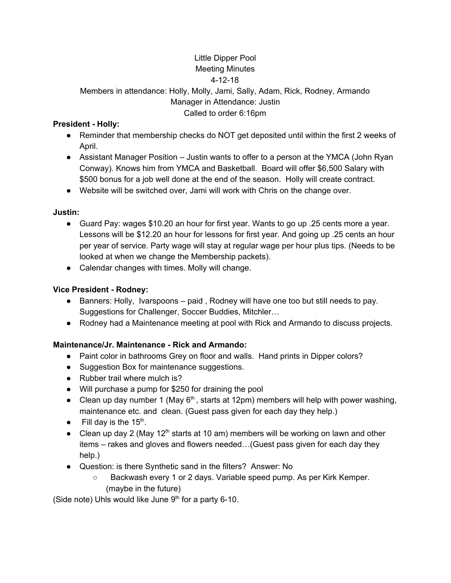### Little Dipper Pool Meeting Minutes

### 4-12-18

Members in attendance: Holly, Molly, Jami, Sally, Adam, Rick, Rodney, Armando Manager in Attendance: Justin Called to order 6:16pm

## **President - Holly:**

- Reminder that membership checks do NOT get deposited until within the first 2 weeks of April.
- Assistant Manager Position Justin wants to offer to a person at the YMCA (John Ryan Conway). Knows him from YMCA and Basketball. Board will offer \$6,500 Salary with \$500 bonus for a job well done at the end of the season. Holly will create contract.

● Website will be switched over, Jami will work with Chris on the change over.

## **Justin:**

- Guard Pay: wages \$10.20 an hour for first year. Wants to go up .25 cents more a year. Lessons will be \$12.20 an hour for lessons for first year. And going up .25 cents an hour per year of service. Party wage will stay at regular wage per hour plus tips. (Needs to be looked at when we change the Membership packets).
- Calendar changes with times. Molly will change.

# **Vice President - Rodney:**

- $\bullet$  Banners: Holly, Ivarspoons paid, Rodney will have one too but still needs to pay. Suggestions for Challenger, Soccer Buddies, Mitchler…
- Rodney had a Maintenance meeting at pool with Rick and Armando to discuss projects.

## **Maintenance/Jr. Maintenance - Rick and Armando:**

- Paint color in bathrooms Grey on floor and walls. Hand prints in Dipper colors?
- Suggestion Box for maintenance suggestions.
- Rubber trail where mulch is?
- Will purchase a pump for \$250 for draining the pool
- Clean up day number 1 (May  $6<sup>th</sup>$ , starts at 12pm) members will help with power washing, maintenance etc. and clean. (Guest pass given for each day they help.)
- Fill day is the  $15<sup>th</sup>$ .
- Clean up day 2 (May 12<sup>th</sup> starts at 10 am) members will be working on lawn and other items – rakes and gloves and flowers needed…(Guest pass given for each day they help.)
- Question: is there Synthetic sand in the filters? Answer: No
	- Backwash every 1 or 2 days. Variable speed pump. As per Kirk Kemper. (maybe in the future)

(Side note) Uhls would like June  $9<sup>th</sup>$  for a party 6-10.